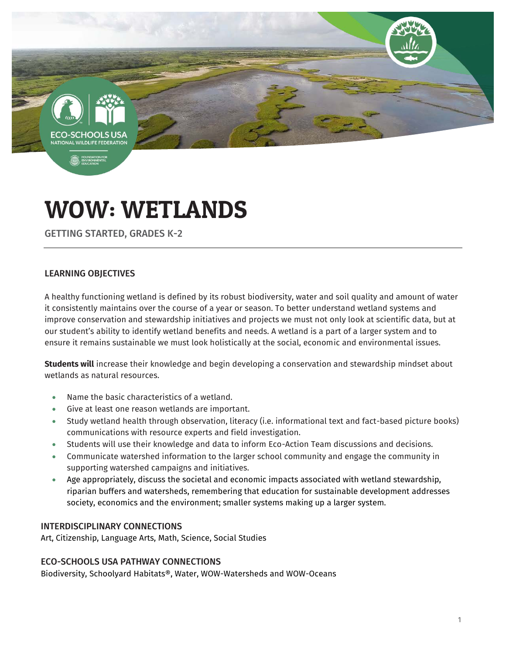CO-SCHOOLS **TIONAL WILDLIFE FEDERAT** 

**B**, ENVIRO

# WOW: WETLANDS

GETTING STARTED, GRADES K-2

# LEARNING OBJECTIVES

A healthy functioning wetland is defined by its robust biodiversity, water and soil quality and amount of water it consistently maintains over the course of a year or season. To better understand wetland systems and improve conservation and stewardship initiatives and projects we must not only look at scientific data, but at our student's ability to identify wetland benefits and needs. A wetland is a part of a larger system and to ensure it remains sustainable we must look holistically at the social, economic and environmental issues.

**Students will** increase their knowledge and begin developing a conservation and stewardship mindset about wetlands as natural resources.

- Name the basic characteristics of a wetland.
- Give at least one reason wetlands are important.
- Study wetland health through observation, literacy (i.e. informational text and fact-based picture books) communications with resource experts and field investigation.
- Students will use their knowledge and data to inform Eco-Action Team discussions and decisions.
- Communicate watershed information to the larger school community and engage the community in supporting watershed campaigns and initiatives.
- Age appropriately, discuss the societal and economic impacts associated with wetland stewardship, riparian buffers and watersheds, remembering that education for sustainable development addresses society, economics and the environment; smaller systems making up a larger system.

## INTERDISCIPLINARY CONNECTIONS

Art, Citizenship, Language Arts, Math, Science, Social Studies

## ECO-SCHOOLS USA PATHWAY CONNECTIONS

Biodiversity, Schoolyard Habitats®, Water, WOW-Watersheds and WOW-Oceans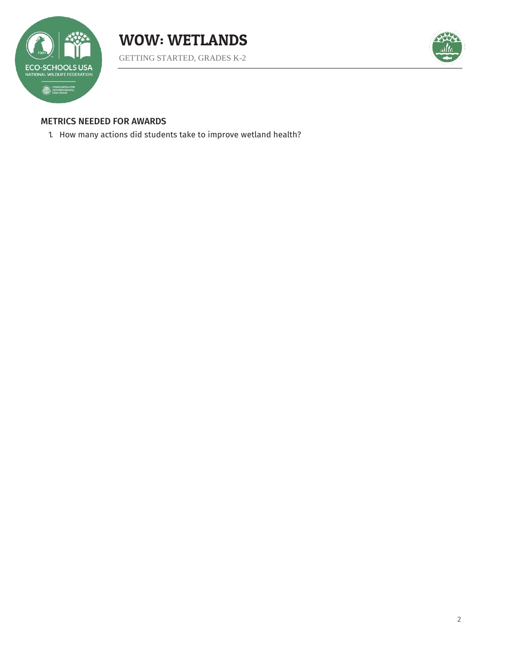



GETTING STARTED, GRADES K-2



## METRICS NEEDED FOR AWARDS

1. How many actions did students take to improve wetland health?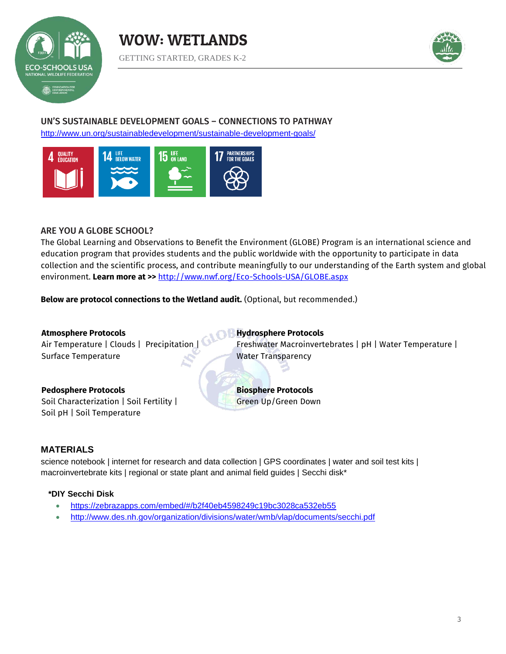





# UN'S SUSTAINABLE DEVELOPMENT GOALS – CONNECTIONS TO PATHWAY

<http://www.un.org/sustainabledevelopment/sustainable-development-goals/>



#### ARE YOU A GLOBE SCHOOL?

The Global Learning and Observations to Benefit the Environment (GLOBE) Program is an international science and education program that provides students and the public worldwide with the opportunity to participate in data collection and the scientific process, and contribute meaningfully to our understanding of the Earth system and global environment. **Learn more at >>** <http://www.nwf.org/Eco-Schools-USA/GLOBE.aspx>

**Below are protocol connections to the Wetland audit.** (Optional, but recommended.)

**Atmosphere Protocols** Air Temperature | Clouds | Precipitation | Surface Temperature

**Hydrosphere Protocols** Freshwater Macroinvertebrates | pH | Water Temperature | Water Transparency

**Pedosphere Protocols** Soil Characterization | Soil Fertility | Soil pH | Soil Temperature

**Biosphere Protocols**  Green Up/Green Down

## **MATERIALS**

science notebook | internet for research and data collection | GPS coordinates | water and soil test kits | macroinvertebrate kits | regional or state plant and animal field guides | Secchi disk\*

#### **\*DIY Secchi Disk**

- <https://zebrazapps.com/embed/#/b2f40eb4598249c19bc3028ca532eb55>
- <http://www.des.nh.gov/organization/divisions/water/wmb/vlap/documents/secchi.pdf>